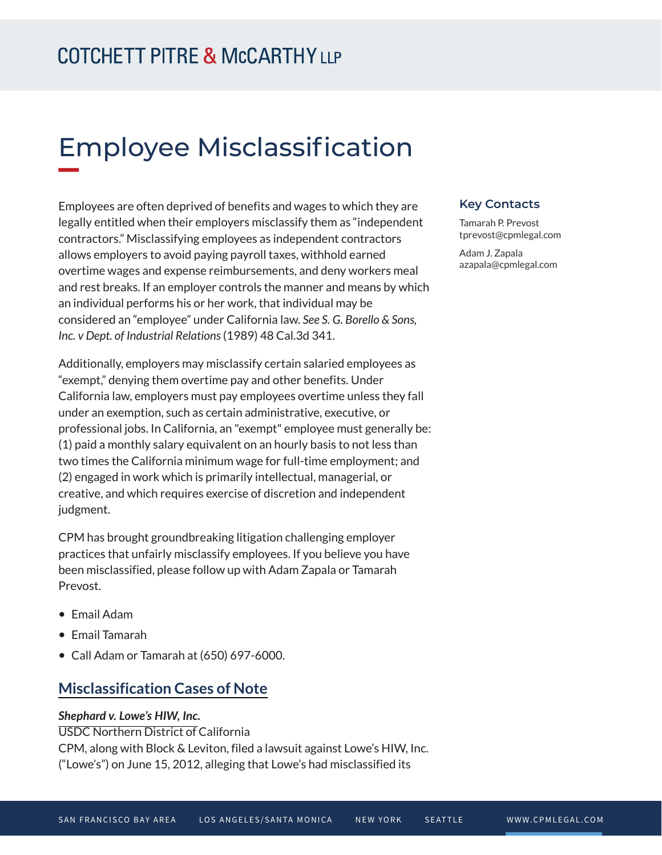# Employee Misclassification

Employees are often deprived of benefits and wages to which they are legally entitled when their employers misclassify them as "independent contractors." Misclassifying employees as independent contractors allows employers to avoid paying payroll taxes, withhold earned overtime wages and expense reimbursements, and deny workers meal and rest breaks. If an employer controls the manner and means by which an individual performs his or her work, that individual may be considered an "employee" under California law. *See S. G. Borello & Sons, Inc. v Dept. of Industrial Relations* (1989) 48 Cal.3d 341.

Additionally, employers may misclassify certain salaried employees as "exempt," denying them overtime pay and other benefits. Under California law, employers must pay employees overtime unless they fall under an exemption, such as certain administrative, executive, or professional jobs. In California, an "exempt" employee must generally be: (1) paid a monthly salary equivalent on an hourly basis to not less than two times the California minimum wage for full-time employment; and (2) engaged in work which is primarily intellectual, managerial, or creative, and which requires exercise of discretion and independent judgment.

CPM has brought groundbreaking litigation challenging employer practices that unfairly misclassify employees. If you believe you have been misclassified, please follow up with Adam Zapala or Tamarah Prevost.

- Email Adam
- Email Tamarah
- Call Adam or Tamarah at (650) 697-6000.

### **Misclassification Cases of Note**

#### *Shephard v. Lowe's HIW, Inc.*

USDC Northern District of California CPM, along with Block & Leviton, filed a lawsuit against Lowe's HIW, Inc. ("Lowe's") on June 15, 2012, alleging that Lowe's had misclassified its

#### **Key Contacts**

Tamarah P. Prevost tprevost@cpmlegal.com

Adam J. Zapala azapala@cpmlegal.com